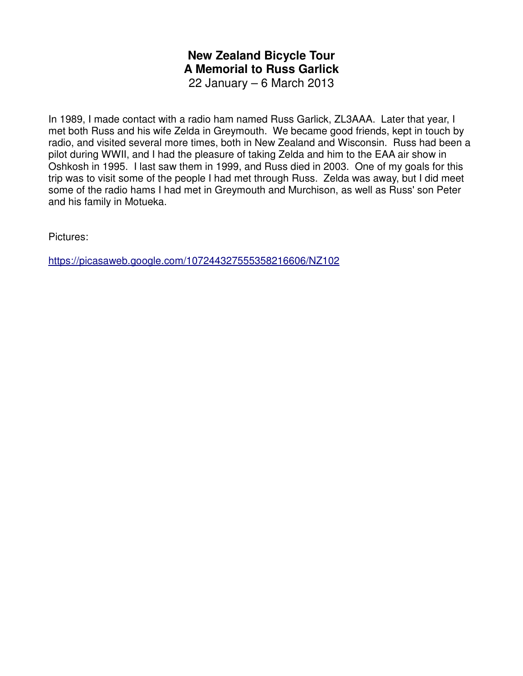# **New Zealand Bicycle Tour A Memorial to Russ Garlick** 22 January – 6 March 2013

In 1989, I made contact with a radio ham named Russ Garlick, ZL3AAA. Later that year, I met both Russ and his wife Zelda in Greymouth. We became good friends, kept in touch by radio, and visited several more times, both in New Zealand and Wisconsin. Russ had been a pilot during WWII, and I had the pleasure of taking Zelda and him to the EAA air show in Oshkosh in 1995. I last saw them in 1999, and Russ died in 2003. One of my goals for this trip was to visit some of the people I had met through Russ. Zelda was away, but I did meet some of the radio hams I had met in Greymouth and Murchison, as well as Russ' son Peter and his family in Motueka.

Pictures:

https://picasaweb.google.com/107244327555358216606/NZ102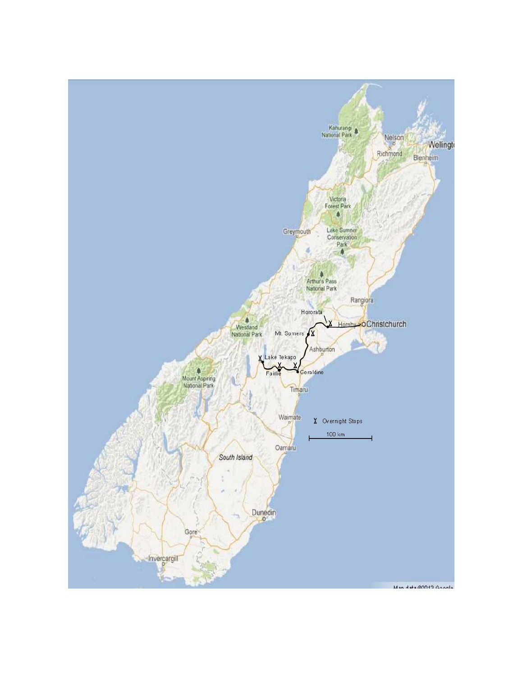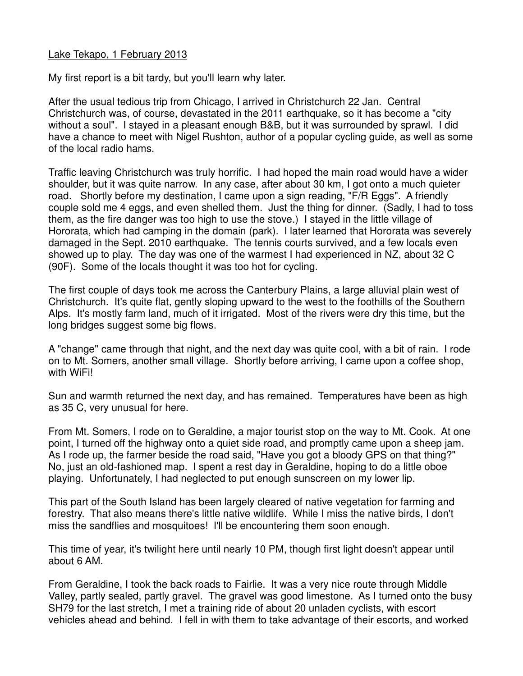## Lake Tekapo, 1 February 2013

My first report is a bit tardy, but you'll learn why later.

After the usual tedious trip from Chicago, I arrived in Christchurch 22 Jan. Central Christchurch was, of course, devastated in the 2011 earthquake, so it has become a "city without a soul". I stayed in a pleasant enough B&B, but it was surrounded by sprawl. I did have a chance to meet with Nigel Rushton, author of a popular cycling guide, as well as some of the local radio hams.

Traffic leaving Christchurch was truly horrific. I had hoped the main road would have a wider shoulder, but it was quite narrow. In any case, after about 30 km, I got onto a much quieter road. Shortly before my destination, I came upon a sign reading, "F/R Eggs". A friendly couple sold me 4 eggs, and even shelled them. Just the thing for dinner. (Sadly, I had to toss them, as the fire danger was too high to use the stove.) I stayed in the little village of Hororata, which had camping in the domain (park). I later learned that Hororata was severely damaged in the Sept. 2010 earthquake. The tennis courts survived, and a few locals even showed up to play. The day was one of the warmest I had experienced in NZ, about 32 C (90F). Some of the locals thought it was too hot for cycling.

The first couple of days took me across the Canterbury Plains, a large alluvial plain west of Christchurch. It's quite flat, gently sloping upward to the west to the foothills of the Southern Alps. It's mostly farm land, much of it irrigated. Most of the rivers were dry this time, but the long bridges suggest some big flows.

A "change" came through that night, and the next day was quite cool, with a bit of rain. I rode on to Mt. Somers, another small village. Shortly before arriving, I came upon a coffee shop, with WiFi!

Sun and warmth returned the next day, and has remained. Temperatures have been as high as 35 C, very unusual for here.

From Mt. Somers, I rode on to Geraldine, a major tourist stop on the way to Mt. Cook. At one point, I turned off the highway onto a quiet side road, and promptly came upon a sheep jam. As I rode up, the farmer beside the road said, "Have you got a bloody GPS on that thing?" No, just an old-fashioned map. I spent a rest day in Geraldine, hoping to do a little oboe playing. Unfortunately, I had neglected to put enough sunscreen on my lower lip.

This part of the South Island has been largely cleared of native vegetation for farming and forestry. That also means there's little native wildlife. While I miss the native birds, I don't miss the sandflies and mosquitoes! I'll be encountering them soon enough.

This time of year, it's twilight here until nearly 10 PM, though first light doesn't appear until about 6 AM.

From Geraldine, I took the back roads to Fairlie. It was a very nice route through Middle Valley, partly sealed, partly gravel. The gravel was good limestone. As I turned onto the busy SH79 for the last stretch, I met a training ride of about 20 unladen cyclists, with escort vehicles ahead and behind. I fell in with them to take advantage of their escorts, and worked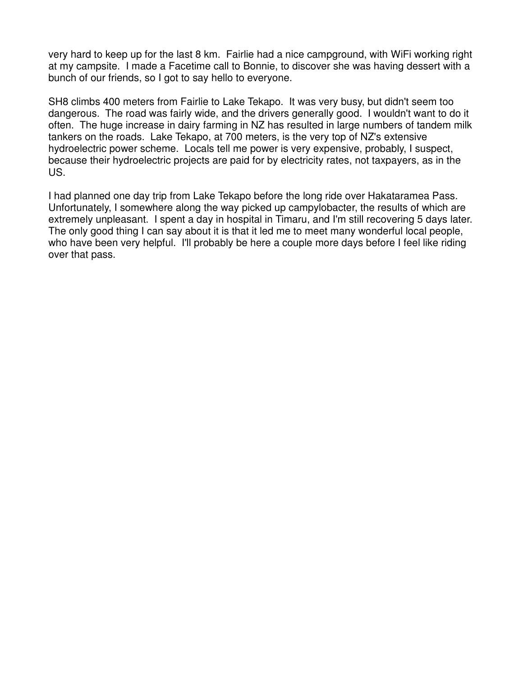very hard to keep up for the last 8 km. Fairlie had a nice campground, with WiFi working right at my campsite. I made a Facetime call to Bonnie, to discover she was having dessert with a bunch of our friends, so I got to say hello to everyone.

SH8 climbs 400 meters from Fairlie to Lake Tekapo. It was very busy, but didn't seem too dangerous. The road was fairly wide, and the drivers generally good. I wouldn't want to do it often. The huge increase in dairy farming in NZ has resulted in large numbers of tandem milk tankers on the roads. Lake Tekapo, at 700 meters, is the very top of NZ's extensive hydroelectric power scheme. Locals tell me power is very expensive, probably, I suspect, because their hydroelectric projects are paid for by electricity rates, not taxpayers, as in the US.

I had planned one day trip from Lake Tekapo before the long ride over Hakataramea Pass. Unfortunately, I somewhere along the way picked up campylobacter, the results of which are extremely unpleasant. I spent a day in hospital in Timaru, and I'm still recovering 5 days later. The only good thing I can say about it is that it led me to meet many wonderful local people, who have been very helpful. I'll probably be here a couple more days before I feel like riding over that pass.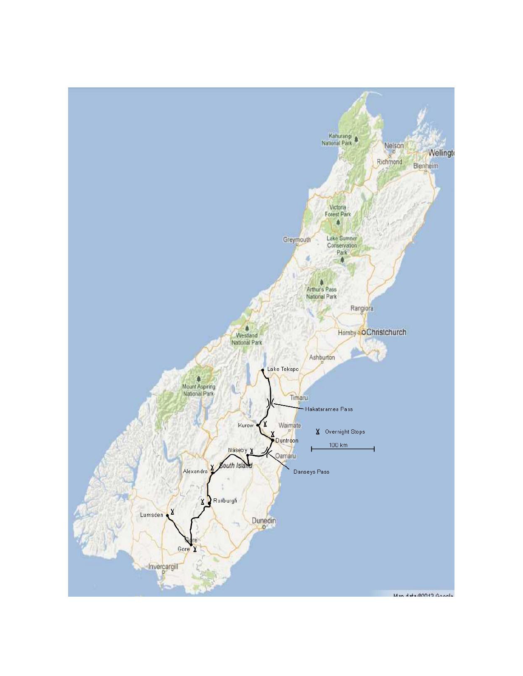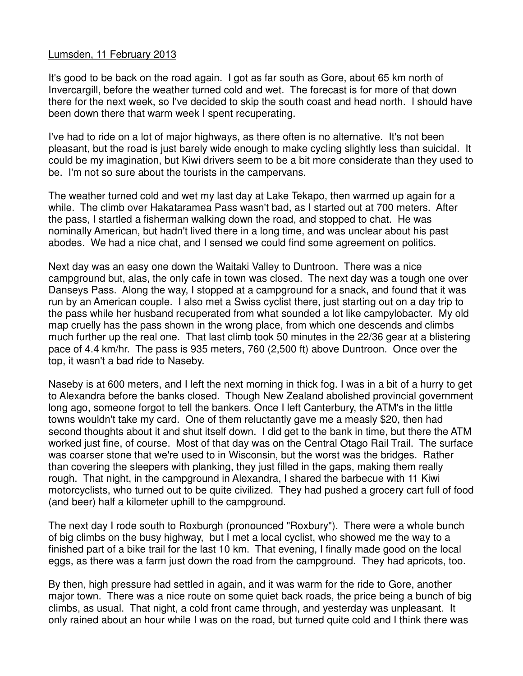## Lumsden, 11 February 2013

It's good to be back on the road again. I got as far south as Gore, about 65 km north of Invercargill, before the weather turned cold and wet. The forecast is for more of that down there for the next week, so I've decided to skip the south coast and head north. I should have been down there that warm week I spent recuperating.

I've had to ride on a lot of major highways, as there often is no alternative. It's not been pleasant, but the road is just barely wide enough to make cycling slightly less than suicidal. It could be my imagination, but Kiwi drivers seem to be a bit more considerate than they used to be. I'm not so sure about the tourists in the campervans.

The weather turned cold and wet my last day at Lake Tekapo, then warmed up again for a while. The climb over Hakataramea Pass wasn't bad, as I started out at 700 meters. After the pass, I startled a fisherman walking down the road, and stopped to chat. He was nominally American, but hadn't lived there in a long time, and was unclear about his past abodes. We had a nice chat, and I sensed we could find some agreement on politics.

Next day was an easy one down the Waitaki Valley to Duntroon. There was a nice campground but, alas, the only cafe in town was closed. The next day was a tough one over Danseys Pass. Along the way, I stopped at a campground for a snack, and found that it was run by an American couple. I also met a Swiss cyclist there, just starting out on a day trip to the pass while her husband recuperated from what sounded a lot like campylobacter. My old map cruelly has the pass shown in the wrong place, from which one descends and climbs much further up the real one. That last climb took 50 minutes in the 22/36 gear at a blistering pace of 4.4 km/hr. The pass is 935 meters, 760 (2,500 ft) above Duntroon. Once over the top, it wasn't a bad ride to Naseby.

Naseby is at 600 meters, and I left the next morning in thick fog. I was in a bit of a hurry to get to Alexandra before the banks closed. Though New Zealand abolished provincial government long ago, someone forgot to tell the bankers. Once I left Canterbury, the ATM's in the little towns wouldn't take my card. One of them reluctantly gave me a measly \$20, then had second thoughts about it and shut itself down. I did get to the bank in time, but there the ATM worked just fine, of course. Most of that day was on the Central Otago Rail Trail. The surface was coarser stone that we're used to in Wisconsin, but the worst was the bridges. Rather than covering the sleepers with planking, they just filled in the gaps, making them really rough. That night, in the campground in Alexandra, I shared the barbecue with 11 Kiwi motorcyclists, who turned out to be quite civilized. They had pushed a grocery cart full of food (and beer) half a kilometer uphill to the campground.

The next day I rode south to Roxburgh (pronounced "Roxbury"). There were a whole bunch of big climbs on the busy highway, but I met a local cyclist, who showed me the way to a finished part of a bike trail for the last 10 km. That evening, I finally made good on the local eggs, as there was a farm just down the road from the campground. They had apricots, too.

By then, high pressure had settled in again, and it was warm for the ride to Gore, another major town. There was a nice route on some quiet back roads, the price being a bunch of big climbs, as usual. That night, a cold front came through, and yesterday was unpleasant. It only rained about an hour while I was on the road, but turned quite cold and I think there was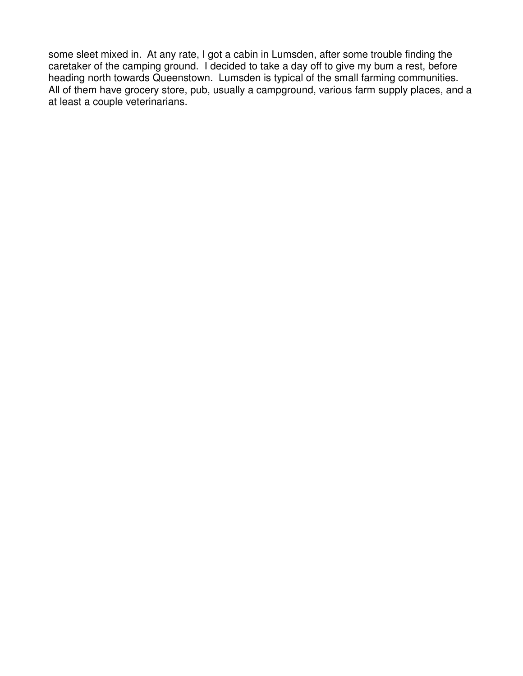some sleet mixed in. At any rate, I got a cabin in Lumsden, after some trouble finding the caretaker of the camping ground. I decided to take a day off to give my bum a rest, before heading north towards Queenstown. Lumsden is typical of the small farming communities. All of them have grocery store, pub, usually a campground, various farm supply places, and a at least a couple veterinarians.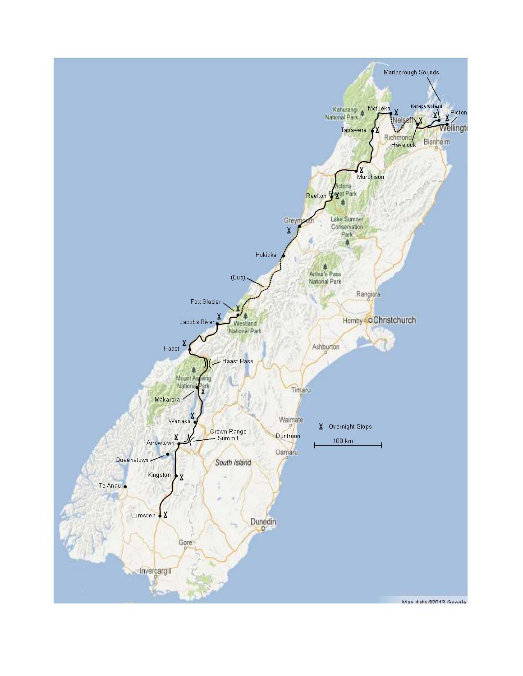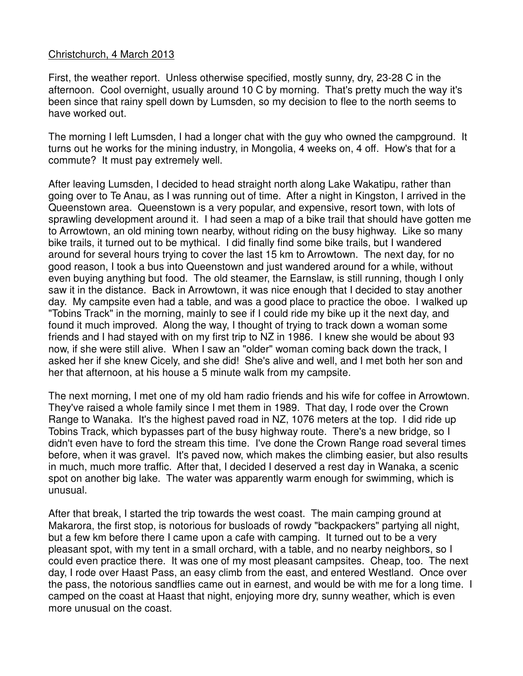## Christchurch, 4 March 2013

First, the weather report. Unless otherwise specified, mostly sunny, dry, 23-28 C in the afternoon. Cool overnight, usually around 10 C by morning. That's pretty much the way it's been since that rainy spell down by Lumsden, so my decision to flee to the north seems to have worked out.

The morning I left Lumsden, I had a longer chat with the guy who owned the campground. It turns out he works for the mining industry, in Mongolia, 4 weeks on, 4 off. How's that for a commute? It must pay extremely well.

After leaving Lumsden, I decided to head straight north along Lake Wakatipu, rather than going over to Te Anau, as I was running out of time. After a night in Kingston, I arrived in the Queenstown area. Queenstown is a very popular, and expensive, resort town, with lots of sprawling development around it. I had seen a map of a bike trail that should have gotten me to Arrowtown, an old mining town nearby, without riding on the busy highway. Like so many bike trails, it turned out to be mythical. I did finally find some bike trails, but I wandered around for several hours trying to cover the last 15 km to Arrowtown. The next day, for no good reason, I took a bus into Queenstown and just wandered around for a while, without even buying anything but food. The old steamer, the Earnslaw, is still running, though I only saw it in the distance. Back in Arrowtown, it was nice enough that I decided to stay another day. My campsite even had a table, and was a good place to practice the oboe. I walked up "Tobins Track" in the morning, mainly to see if I could ride my bike up it the next day, and found it much improved. Along the way, I thought of trying to track down a woman some friends and I had stayed with on my first trip to NZ in 1986. I knew she would be about 93 now, if she were still alive. When I saw an "older" woman coming back down the track, I asked her if she knew Cicely, and she did! She's alive and well, and I met both her son and her that afternoon, at his house a 5 minute walk from my campsite.

The next morning, I met one of my old ham radio friends and his wife for coffee in Arrowtown. They've raised a whole family since I met them in 1989. That day, I rode over the Crown Range to Wanaka. It's the highest paved road in NZ, 1076 meters at the top. I did ride up Tobins Track, which bypasses part of the busy highway route. There's a new bridge, so I didn't even have to ford the stream this time. I've done the Crown Range road several times before, when it was gravel. It's paved now, which makes the climbing easier, but also results in much, much more traffic. After that, I decided I deserved a rest day in Wanaka, a scenic spot on another big lake. The water was apparently warm enough for swimming, which is unusual.

After that break, I started the trip towards the west coast. The main camping ground at Makarora, the first stop, is notorious for busloads of rowdy "backpackers" partying all night, but a few km before there I came upon a cafe with camping. It turned out to be a very pleasant spot, with my tent in a small orchard, with a table, and no nearby neighbors, so I could even practice there. It was one of my most pleasant campsites. Cheap, too. The next day, I rode over Haast Pass, an easy climb from the east, and entered Westland. Once over the pass, the notorious sandflies came out in earnest, and would be with me for a long time. I camped on the coast at Haast that night, enjoying more dry, sunny weather, which is even more unusual on the coast.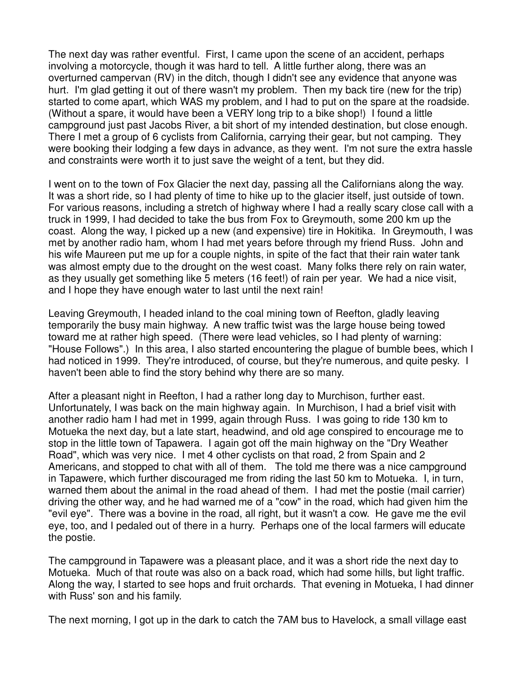The next day was rather eventful. First, I came upon the scene of an accident, perhaps involving a motorcycle, though it was hard to tell. A little further along, there was an overturned campervan (RV) in the ditch, though I didn't see any evidence that anyone was hurt. I'm glad getting it out of there wasn't my problem. Then my back tire (new for the trip) started to come apart, which WAS my problem, and I had to put on the spare at the roadside. (Without a spare, it would have been a VERY long trip to a bike shop!) I found a little campground just past Jacobs River, a bit short of my intended destination, but close enough. There I met a group of 6 cyclists from California, carrying their gear, but not camping. They were booking their lodging a few days in advance, as they went. I'm not sure the extra hassle and constraints were worth it to just save the weight of a tent, but they did.

I went on to the town of Fox Glacier the next day, passing all the Californians along the way. It was a short ride, so I had plenty of time to hike up to the glacier itself, just outside of town. For various reasons, including a stretch of highway where I had a really scary close call with a truck in 1999, I had decided to take the bus from Fox to Greymouth, some 200 km up the coast. Along the way, I picked up a new (and expensive) tire in Hokitika. In Greymouth, I was met by another radio ham, whom I had met years before through my friend Russ. John and his wife Maureen put me up for a couple nights, in spite of the fact that their rain water tank was almost empty due to the drought on the west coast. Many folks there rely on rain water, as they usually get something like 5 meters (16 feet!) of rain per year. We had a nice visit, and I hope they have enough water to last until the next rain!

Leaving Greymouth, I headed inland to the coal mining town of Reefton, gladly leaving temporarily the busy main highway. A new traffic twist was the large house being towed toward me at rather high speed. (There were lead vehicles, so I had plenty of warning: "House Follows".) In this area, I also started encountering the plague of bumble bees, which I had noticed in 1999. They're introduced, of course, but they're numerous, and quite pesky. I haven't been able to find the story behind why there are so many.

After a pleasant night in Reefton, I had a rather long day to Murchison, further east. Unfortunately, I was back on the main highway again. In Murchison, I had a brief visit with another radio ham I had met in 1999, again through Russ. I was going to ride 130 km to Motueka the next day, but a late start, headwind, and old age conspired to encourage me to stop in the little town of Tapawera. I again got off the main highway on the "Dry Weather Road", which was very nice. I met 4 other cyclists on that road, 2 from Spain and 2 Americans, and stopped to chat with all of them. The told me there was a nice campground in Tapawere, which further discouraged me from riding the last 50 km to Motueka. I, in turn, warned them about the animal in the road ahead of them. I had met the postie (mail carrier) driving the other way, and he had warned me of a "cow" in the road, which had given him the "evil eye". There was a bovine in the road, all right, but it wasn't a cow. He gave me the evil eye, too, and I pedaled out of there in a hurry. Perhaps one of the local farmers will educate the postie.

The campground in Tapawere was a pleasant place, and it was a short ride the next day to Motueka. Much of that route was also on a back road, which had some hills, but light traffic. Along the way, I started to see hops and fruit orchards. That evening in Motueka, I had dinner with Russ' son and his family.

The next morning, I got up in the dark to catch the 7AM bus to Havelock, a small village east